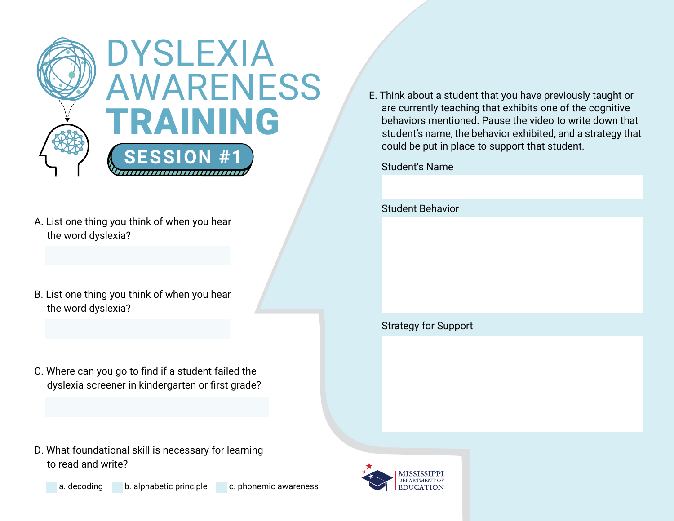

- A. List one thing you think of when you hear the word dyslexia?
- B. List one thing you think of when you hear the word dyslexia?
- C. Where can you go to find if a student failed the dyslexia screener in kindergarten or first grade?
- D. What foundational skill is necessary for learning to read and write?
	-



E. Think about a student that you have previously taught or are currently teaching that exhibits one of the cognitive behaviors mentioned. Pause the video to write down that student's name, the behavior exhibited, and a strategy that could be put in place to support that student.

Student's Name

Student Behavior

## Strategy for Support